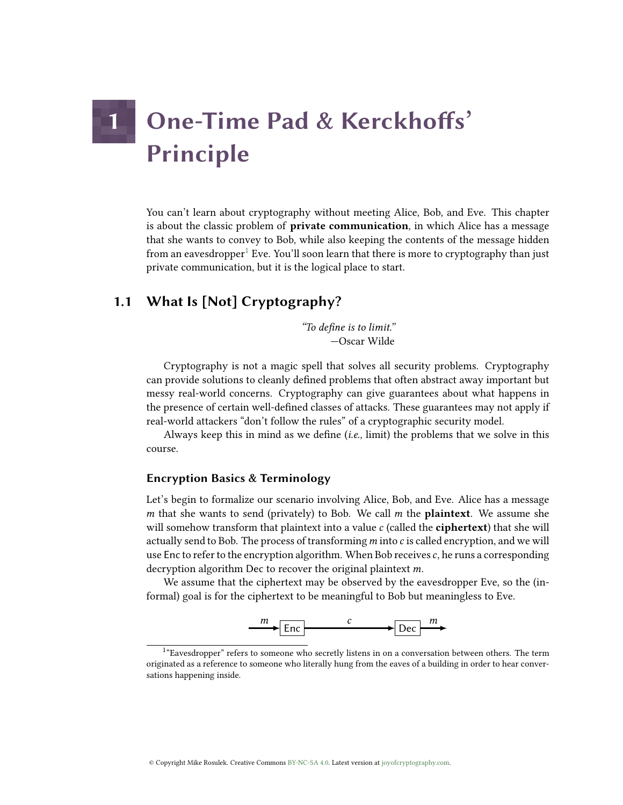# **1 One-Time Pad & Kerckhoffs'** Principle

You can't learn about cryptography without meeting Alice, Bob, and Eve. This chapter is about the classic problem of private communication, in which Alice has a message that she wants to convey to Bob, while also keeping the contents of the message hidden from an eavesdropper<sup>[1](#page-0-0)</sup> Eve. You'll soon learn that there is more to cryptography than just private communication, but it is the logical place to start.

## 1.1 What Is [Not] Cryptography?

"To define is to limit." —Oscar Wilde

Cryptography is not a magic spell that solves all security problems. Cryptography can provide solutions to cleanly defined problems that often abstract away important but messy real-world concerns. Cryptography can give guarantees about what happens in the presence of certain well-defined classes of attacks. These guarantees may not apply if real-world attackers "don't follow the rules" of a cryptographic security model.

Always keep this in mind as we define  $(i.e., limit)$  the problems that we solve in this course.

#### Encryption Basics & Terminology

Let's begin to formalize our scenario involving Alice, Bob, and Eve. Alice has a message m that she wants to send (privately) to Bob. We call  $m$  the **plaintext**. We assume she will somehow transform that plaintext into a value  $c$  (called the **ciphertext**) that she will actually send to Bob. The process of transforming m into c is called encryption, and we will use Enc to refer to the encryption algorithm. When Bob receives c, he runs a corresponding decryption algorithm Dec to recover the original plaintext m.

We assume that the ciphertext may be observed by the eavesdropper Eve, so the (informal) goal is for the ciphertext to be meaningful to Bob but meaningless to Eve.



<span id="page-0-0"></span><sup>&</sup>lt;sup>1</sup> "Eavesdropper" refers to someone who secretly listens in on a conversation between others. The term originated as a reference to someone who literally hung from the eaves of a building in order to hear conversations happening inside.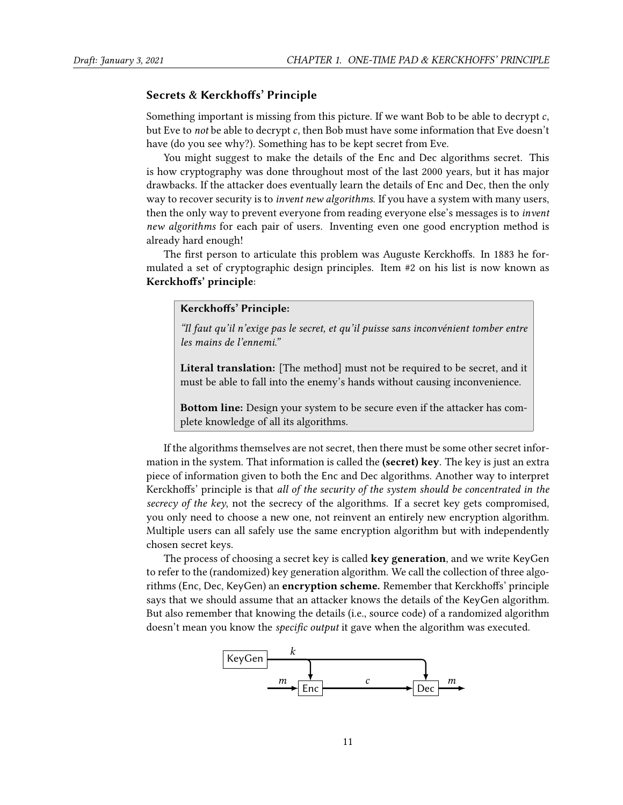## Secrets & Kerckhoffs' Principle

Something important is missing from this picture. If we want Bob to be able to decrypt c, but Eve to *not* be able to decrypt  $c$ , then Bob must have some information that Eve doesn't have (do you see why?). Something has to be kept secret from Eve.

You might suggest to make the details of the Enc and Dec algorithms secret. This is how cryptography was done throughout most of the last 2000 years, but it has major drawbacks. If the attacker does eventually learn the details of Enc and Dec, then the only way to recover security is to *invent new algorithms*. If you have a system with many users, then the only way to prevent everyone from reading everyone else's messages is to *invent* new algorithms for each pair of users. Inventing even one good encryption method is already hard enough!

The first person to articulate this problem was Auguste Kerckhoffs. In 1883 he formulated a set of cryptographic design principles. Item #2 on his list is now known as Kerckhoffs' principle:

#### Kerckhoffs' Principle:

"Il faut qu'il n'exige pas le secret, et qu'il puisse sans inconvénient tomber entre les mains de l'ennemi."

Literal translation: [The method] must not be required to be secret, and it must be able to fall into the enemy's hands without causing inconvenience.

Bottom line: Design your system to be secure even if the attacker has complete knowledge of all its algorithms.

If the algorithms themselves are not secret, then there must be some other secret information in the system. That information is called the (secret) key. The key is just an extra piece of information given to both the Enc and Dec algorithms. Another way to interpret Kerckhoffs' principle is that all of the security of the system should be concentrated in the secrecy of the key, not the secrecy of the algorithms. If a secret key gets compromised, you only need to choose a new one, not reinvent an entirely new encryption algorithm. Multiple users can all safely use the same encryption algorithm but with independently chosen secret keys.

The process of choosing a secret key is called key generation, and we write KeyGen to refer to the (randomized) key generation algorithm. We call the collection of three algorithms (Enc, Dec, KeyGen) an encryption scheme. Remember that Kerckhoffs' principle says that we should assume that an attacker knows the details of the KeyGen algorithm. But also remember that knowing the details (i.e., source code) of a randomized algorithm doesn't mean you know the *specific output* it gave when the algorithm was executed.

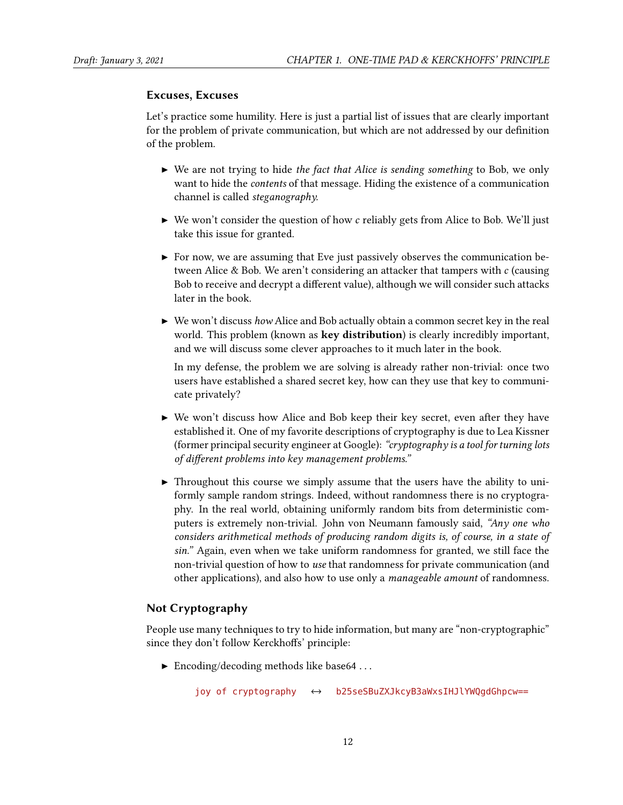#### Excuses, Excuses

Let's practice some humility. Here is just a partial list of issues that are clearly important for the problem of private communication, but which are not addressed by our definition of the problem.

- $\blacktriangleright$  We are not trying to hide the fact that Alice is sending something to Bob, we only want to hide the contents of that message. Hiding the existence of a communication channel is called steganography.
- $\triangleright$  We won't consider the question of how c reliably gets from Alice to Bob. We'll just take this issue for granted.
- $\triangleright$  For now, we are assuming that Eve just passively observes the communication between Alice & Bob. We aren't considering an attacker that tampers with  $c$  (causing Bob to receive and decrypt a different value), although we will consider such attacks later in the book.
- $\triangleright$  We won't discuss how Alice and Bob actually obtain a common secret key in the real world. This problem (known as key distribution) is clearly incredibly important, and we will discuss some clever approaches to it much later in the book.

In my defense, the problem we are solving is already rather non-trivial: once two users have established a shared secret key, how can they use that key to communicate privately?

- ▶ We won't discuss how Alice and Bob keep their key secret, even after they have established it. One of my favorite descriptions of cryptography is due to Lea Kissner (former principal security engineer at Google): "cryptography is a tool for turning lots of different problems into key management problems."
- $\triangleright$  Throughout this course we simply assume that the users have the ability to uniformly sample random strings. Indeed, without randomness there is no cryptography. In the real world, obtaining uniformly random bits from deterministic computers is extremely non-trivial. John von Neumann famously said, "Any one who considers arithmetical methods of producing random digits is, of course, in a state of sin." Again, even when we take uniform randomness for granted, we still face the non-trivial question of how to use that randomness for private communication (and other applications), and also how to use only a manageable amount of randomness.

#### Not Cryptography

People use many techniques to try to hide information, but many are "non-cryptographic" since they don't follow Kerckhoffs' principle:

 $\blacktriangleright$  Encoding/decoding methods like base64 ...

joy of cryptography ↔ b25seSBuZXJkcyB3aWxsIHJlYWQgdGhpcw==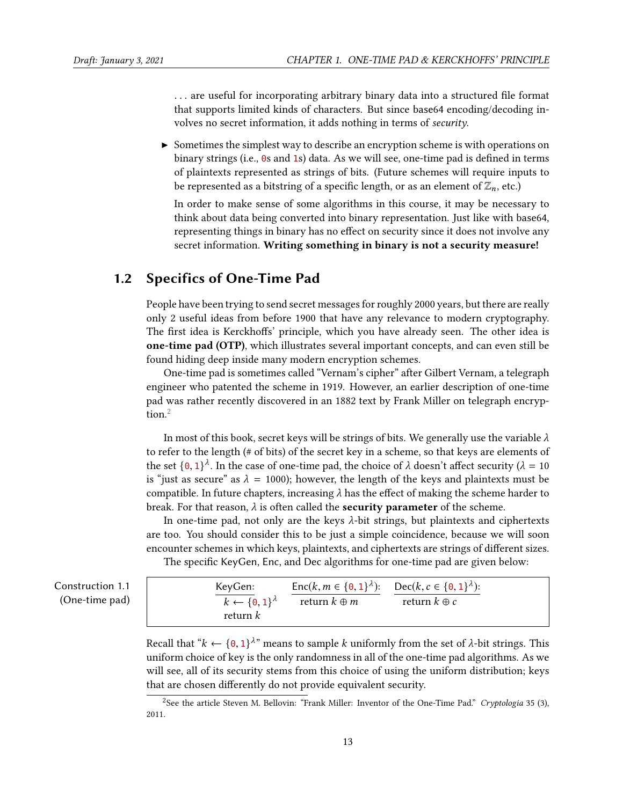... are useful for incorporating arbitrary binary data into a structured file format that supports limited kinds of characters. But since base64 encoding/decoding involves no secret information, it adds nothing in terms of security.

 $\triangleright$  Sometimes the simplest way to describe an encryption scheme is with operations on binary strings (i.e., 0s and 1s) data. As we will see, one-time pad is defined in terms of plaintexts represented as strings of bits. (Future schemes will require inputs to be represented as a bitstring of a specific length, or as an element of  $\mathbb{Z}_n$ , etc.)

In order to make sense of some algorithms in this course, it may be necessary to think about data being converted into binary representation. Just like with base64, representing things in binary has no effect on security since it does not involve any secret information. Writing something in binary is not a security measure!

## 1.2 Specifics of One-Time Pad

People have been trying to send secret messages for roughly 2000 years, but there are really only 2 useful ideas from before 1900 that have any relevance to modern cryptography. The first idea is Kerckhoffs' principle, which you have already seen. The other idea is one-time pad (OTP), which illustrates several important concepts, and can even still be found hiding deep inside many modern encryption schemes.

One-time pad is sometimes called "Vernam's cipher" after Gilbert Vernam, a telegraph engineer who patented the scheme in 1919. However, an earlier description of one-time pad was rather recently discovered in an 1882 text by Frank Miller on telegraph encryp-tion.<sup>[2](#page-3-0)</sup>

In most of this book, secret keys will be strings of bits. We generally use the variable  $\lambda$ to refer to the length (# of bits) of the secret key in a scheme, so that keys are elements of the set  $\{0, 1\}^{\lambda}$ . In the case of one-time pad, the choice of  $\lambda$  doesn't affect security ( $\lambda = 10$ <br>is "just as secure" as  $\lambda = 1000$ ); however the length of the leave and plaintexts must be is "just as secure" as  $\lambda = 1000$ ); however, the length of the keys and plaintexts must be compatible. In future chapters, increasing  $\lambda$  has the effect of making the scheme harder to break. For that reason,  $\lambda$  is often called the **security parameter** of the scheme.

In one-time pad, not only are the keys λ-bit strings, but plaintexts and ciphertexts are too. You should consider this to be just a simple coincidence, because we will soon encounter schemes in which keys, plaintexts, and ciphertexts are strings of different sizes. The specific KeyGen, Enc, and Dec algorithms for one-time pad are given below:

Construction 1.1 (One-time pad)

| KeyGen:                          | $Enc(k, m \in \{0, 1\}^{\lambda})$ : $Dec(k, c \in \{0, 1\}^{\lambda})$ : |                     |  |
|----------------------------------|---------------------------------------------------------------------------|---------------------|--|
| $k \leftarrow \{0,1\}^{\lambda}$ | return $k \oplus m$                                                       | return $k \oplus c$ |  |
| return $k$                       |                                                                           |                     |  |

Recall that " $k \leftarrow \{0, 1\}^{\lambda}$ " means to sample k uniformly from the set of  $\lambda$ -bit strings. This uniform choice of key is the only randomness in all of the one-time nod algorithms. As we uniform choice of key is the only randomness in all of the one-time pad algorithms. As we will see, all of its security stems from this choice of using the uniform distribution; keys that are chosen differently do not provide equivalent security.

<span id="page-3-1"></span><span id="page-3-0"></span><sup>&</sup>lt;sup>2</sup>See the article Steven M. Bellovin: "Frank Miller: Inventor of the One-Time Pad." Cryptologia 35 (3), 2011.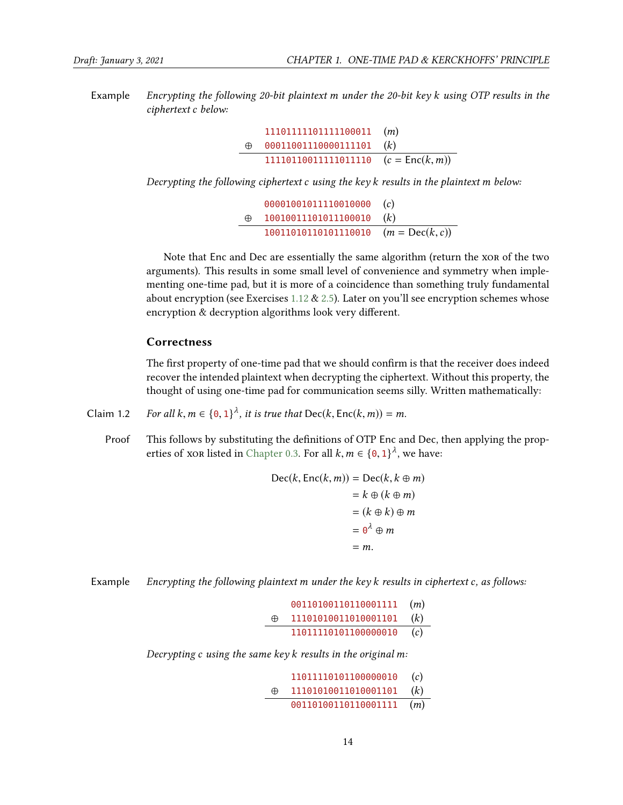Example Encrypting the following 20-bit plaintext m under the 20-bit key k using OTP results in the ciphertext c below:

> $11101111101111100011$  (*m*)<br>00011001110000111101 (*k*)  $\theta$  00011001110000111101 (k)<br>11110110011111011110 (c = Enc(k, m)) 11110110011111011110

Decrypting the following ciphertext c using the key k results in the plaintext m below:

 $00001001011110010000$  (c)<br>10010011101011100010 (k)  $\overline{\Theta}$  100100111010111100010 (k)<br>10011010110101110010 (m = Dec(k, c)) <sup>10011010110101110010</sup> (m <sup>=</sup> Dec(k,c))

Note that Enc and Dec are essentially the same algorithm (return the xor of the two arguments). This results in some small level of convenience and symmetry when implementing one-time pad, but it is more of a coincidence than something truly fundamental about encryption (see Exercises [1.12](#page-10-0)  $\&$  [2.5\)](#page--1-0). Later on you'll see encryption schemes whose encryption  $&$  decryption algorithms look very different.

#### **Correctness**

<span id="page-4-0"></span>The first property of one-time pad that we should confirm is that the receiver does indeed recover the intended plaintext when decrypting the ciphertext. Without this property, the thought of using one-time pad for communication seems silly. Written mathematically:

- Claim 1.2 For all  $k, m \in \{0, 1\}^{\lambda}$ , it is true that  $\text{Dec}(k, \text{Enc}(k, m)) = m$ .
	- Proof This follows by substituting the definitions of OTP Enc and Dec, then applying the prop-erties of xor listed in [Chapter 0.3.](#page--1-1) For all  $k, m \in \{0, 1\}^{\lambda}$ , we have:

$$
Dec(k, Enc(k, m)) = Dec(k, k \oplus m)
$$
  
=  $k \oplus (k \oplus m)$   
=  $(k \oplus k) \oplus m$   
=  $0^{\lambda} \oplus m$   
= m.

Example Encrypting the following plaintext m under the key  $k$  results in ciphertext c, as follows:

| 00110100110110001111 | (m) |
|----------------------|-----|
| 11101010011010001101 | (k) |
| 11011110101100000010 | (c) |
|                      |     |

Decrypting c using the same key k results in the original m:

|          | 11011110101100000010 | (c) |
|----------|----------------------|-----|
| $\oplus$ | 11101010011010001101 | (k) |
|          | 00110100110110001111 | (m) |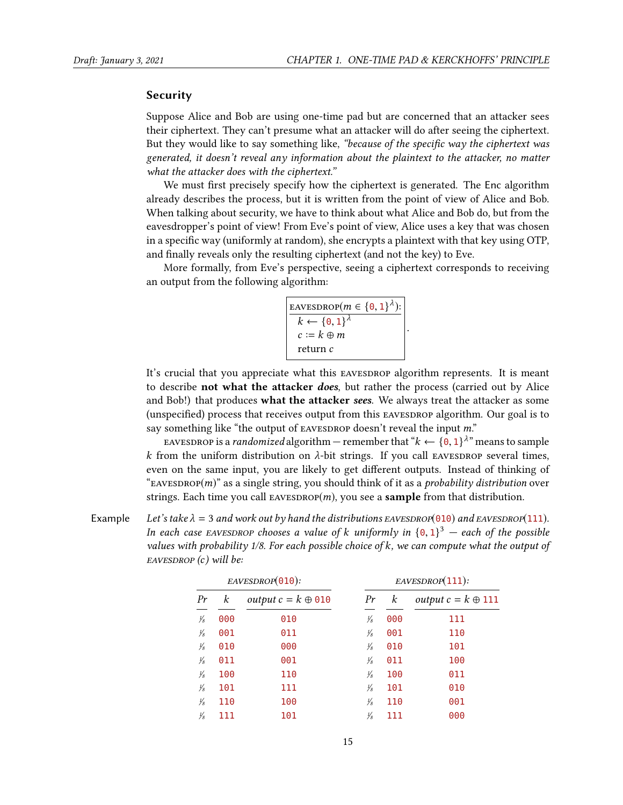#### Security

Suppose Alice and Bob are using one-time pad but are concerned that an attacker sees their ciphertext. They can't presume what an attacker will do after seeing the ciphertext. But they would like to say something like, "because of the specific way the ciphertext was generated, it doesn't reveal any information about the plaintext to the attacker, no matter what the attacker does with the ciphertext."

We must first precisely specify how the ciphertext is generated. The Enc algorithm already describes the process, but it is written from the point of view of Alice and Bob. When talking about security, we have to think about what Alice and Bob do, but from the eavesdropper's point of view! From Eve's point of view, Alice uses a key that was chosen in a specific way (uniformly at random), she encrypts a plaintext with that key using OTP, and finally reveals only the resulting ciphertext (and not the key) to Eve.

More formally, from Eve's perspective, seeing a ciphertext corresponds to receiving an output from the following algorithm:

| $k \leftarrow \{0,1\}^{\lambda}$ |
|----------------------------------|
|                                  |
| $c := k \oplus m$                |
| return c                         |

It's crucial that you appreciate what this EAVESDROP algorithm represents. It is meant to describe **not what the attacker** *does*, but rather the process (carried out by Alice and Bob!) that produces what the attacker sees. We always treat the attacker as some (unspecified) process that receives output from this EAVESDROP algorithm. Our goal is to say something like "the output of  $E$ AVESDROP doesn't reveal the input  $m$ ."

EAVESDROP is a *randomized* algorithm — remember that " $k \leftarrow \{0, 1\}^{\lambda}$ " means to sample<br>om the uniform distribution on l-bit strings. If you call EAVESDROP several times. k from the uniform distribution on  $\lambda$ -bit strings. If you call EAVESDROP several times, even on the same input, you are likely to get different outputs. Instead of thinking of "EAVESDROP( $m$ )" as a single string, you should think of it as a *probability distribution* over strings. Each time you call  $\text{EAVESDROP}(m)$ , you see a sample from that distribution.

Example Let's take  $\lambda = 3$  and work out by hand the distributions EAVESDROP(010) and EAVESDROP(111). In each case EAVESDROP chooses a value of k uniformly in  $\{0, 1\}^3$  – each of the possible<br>values with probability 1/8. For each possible choice of k, we can compute what the output of values with probability 1/8. For each possible choice of k, we can compute what the output of  $EAVESDROP(c)$  will be:

| $EAVESDROP(010)$ : |     | $EAVESDROP(111)$ :               |               |                  |                                  |
|--------------------|-----|----------------------------------|---------------|------------------|----------------------------------|
| Pr                 | k   | <i>output</i> $c = k \oplus 010$ | Pr            | $\boldsymbol{k}$ | <i>output</i> $c = k \oplus 111$ |
| $\frac{1}{8}$      | 000 | 010                              | $\frac{1}{8}$ | 000              | 111                              |
| $\frac{1}{8}$      | 001 | 011                              | $\frac{1}{8}$ | 001              | 110                              |
| $\frac{1}{8}$      | 010 | 000                              | $\frac{1}{8}$ | 010              | 101                              |
| $\frac{1}{8}$      | 011 | 001                              | $\frac{1}{8}$ | 011              | 100                              |
| $\frac{1}{8}$      | 100 | 110                              | $\frac{1}{8}$ | 100              | 011                              |
| $\frac{1}{8}$      | 101 | 111                              | $\frac{1}{8}$ | 101              | 010                              |
| $\frac{1}{8}$      | 110 | 100                              | $\frac{1}{8}$ | 110              | 001                              |
| ⅓                  | 111 | 101                              | ⅓             | 111              | 000                              |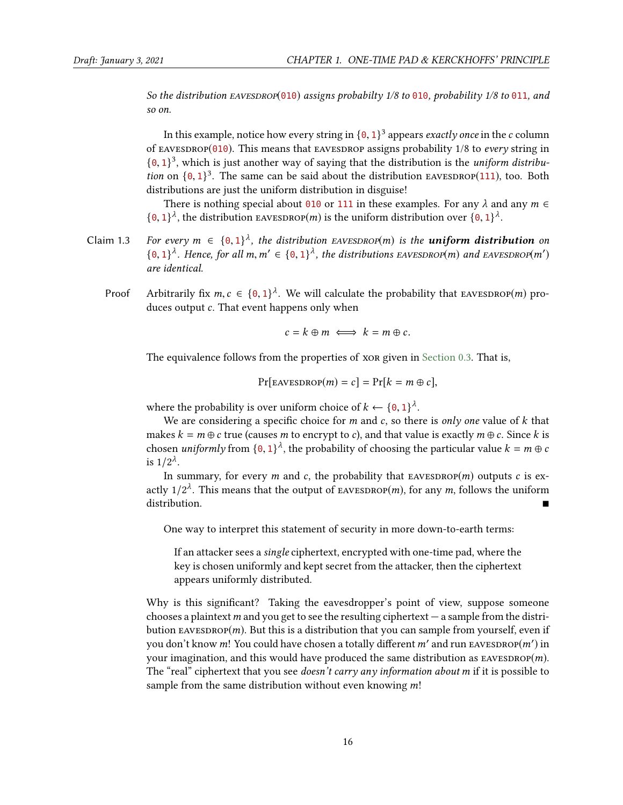So the distribution EAVESDROP(010) assigns probabilty 1/8 to 010, probability 1/8 to 011, and so on.

In this example, notice how every string in  $\{0, 1\}^3$  appears *exactly once* in the c column<br>AVESDROD(0.10). This means that EAVESDROP assigns probability 1/8 to every string in of EAVESDROP( $010$ ). This means that EAVESDROP assigns probability 1/8 to every string in  $\{0, 1\}^3$ , which is just another way of saying that the distribution is the *uniform distribution* on  $\{0, 1\}^3$ . The same can be said about the distribution EAVESDROP(111) too. Both tion on  $\{0, 1\}^3$ . The same can be said about the distribution EAVESDROP(111), too. Both distributions are just the uniform distribution in disquise distributions are just the uniform distribution in disguise!

There is nothing special about 010 or 111 in these examples. For any  $\lambda$  and any  $m \in$  $\{0,1\}^{\lambda}$ , the distribution EAVESDROP(*m*) is the uniform distribution over  $\{0,1\}^{\lambda}$ .

- Claim 1.3 For every  $m \in \{0,1\}^{\lambda}$ , the distribution EAVESDROP(m) is the **uniform distribution** on<br>So 1<sup>1</sub> $\lambda$  Hence for all m m'  $\in \{0,1\}^{\lambda}$  the distributions EAVESDROP(m) and EAVESDROP(m')</sup>  $\{0,1\}^{\lambda}$ . Hence, for all m,  $m' \in \{0,1\}^{\lambda}$ , the distributions EAVESDROP(m) and EAVESDROP(m')<br>are identical are identical.
	- Proof Arbitrarily fix  $m, c \in \{0, 1\}^{\lambda}$ . We will calculate the probability that EAVESDROP(*m*) pro-<br>duces output c. That event bannens only when duces output c. That event happens only when

<span id="page-6-0"></span>
$$
c = k \oplus m \iff k = m \oplus c.
$$

The equivalence follows from the properties of xore given in [Section 0.3.](#page--1-1) That is,

 $Pr[$ EAVESDROP $(m) = c] = Pr[k = m \oplus c],$ 

where the probability is over uniform choice of  $k \leftarrow \{0, 1\}^{\lambda}$ .<br>We are considering a specific choice for m and c, so the

We are considering a specific choice for  $m$  and  $c$ , so there is only one value of  $k$  that makes  $k = m \oplus c$  true (causes m to encrypt to c), and that value is exactly  $m \oplus c$ . Since k is chosen *uniformly* from  $\{0, 1\}^{\lambda}$ , the probability of choosing the particular value  $k = m \oplus c$ is  $1/2^{\lambda}$ .

In summary, for every m and c, the probability that EAVESDROP(m) outputs c is exactly  $1/2^{\lambda}$ . This means that the output of EAVESDROP(*m*), for any *m*, follows the uniform distribution distribution.

One way to interpret this statement of security in more down-to-earth terms:

If an attacker sees a single ciphertext, encrypted with one-time pad, where the key is chosen uniformly and kept secret from the attacker, then the ciphertext appears uniformly distributed.

Why is this significant? Taking the eavesdropper's point of view, suppose someone chooses a plaintext m and you get to see the resulting ciphertext  $-$  a sample from the distribution  $\text{EavesDROP}(m)$ . But this is a distribution that you can sample from yourself, even if you don't know m! You could have chosen a totally different  $m'$  and run EAVESDROP $(m')$  in<br>your imagination, and this would have produced the same distribution as EAVESDROP $(m)$ your imagination, and this would have produced the same distribution as  $\text{EAVESDROP}(m)$ . The "real" ciphertext that you see *doesn't carry any information about m* if it is possible to sample from the same distribution without even knowing *m*!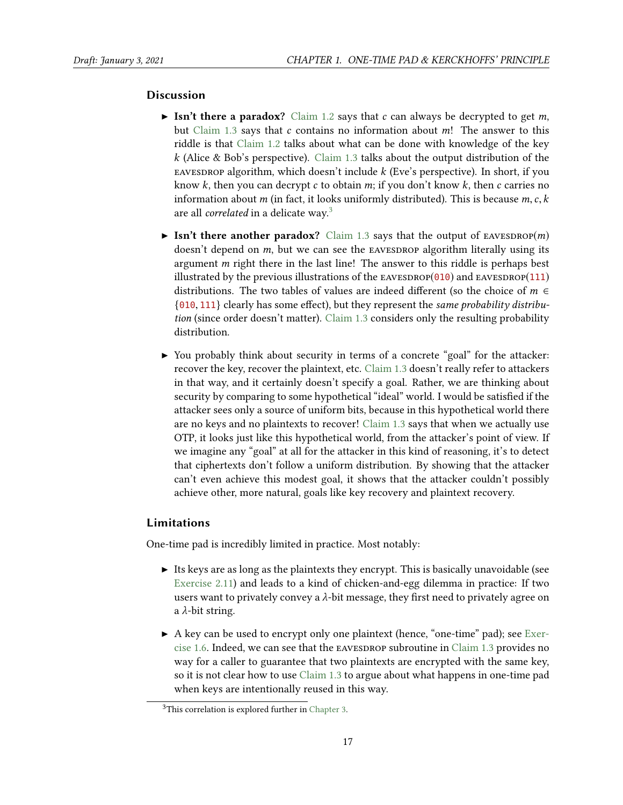#### Discussion

- Isn't there a paradox? [Claim 1.2](#page-4-0) says that c can always be decrypted to get m, but [Claim 1.3](#page-6-0) says that c contains no information about  $m!$ . The answer to this riddle is that [Claim 1.2](#page-4-0) talks about what can be done with knowledge of the key k (Alice & Bob's perspective). [Claim 1.3](#page-6-0) talks about the output distribution of the EAVESDROP algorithm, which doesn't include  $k$  (Eve's perspective). In short, if you know  $k$ , then you can decrypt  $c$  to obtain  $m$ ; if you don't know  $k$ , then  $c$  carries no information about m (in fact, it looks uniformly distributed). This is because  $m, c, k$ are all *correlated* in a delicate way.<sup>[3](#page-7-0)</sup>
- Isn't there another paradox? [Claim 1.3](#page-6-0) says that the output of  $\text{EAVESDROP}(m)$ doesn't depend on  $m$ , but we can see the EAVESDROP algorithm literally using its argument m right there in the last line! The answer to this riddle is perhaps best illustrated by the previous illustrations of the EAVESDROP( $010$ ) and EAVESDROP( $111$ ) distributions. The two tables of values are indeed different (so the choice of  $m \in$  $\{010, 111\}$  clearly has some effect), but they represent the same probability distribution (since order doesn't matter). [Claim 1.3](#page-6-0) considers only the resulting probability distribution.
- $\triangleright$  You probably think about security in terms of a concrete "goal" for the attacker: recover the key, recover the plaintext, etc. [Claim 1.3](#page-6-0) doesn't really refer to attackers in that way, and it certainly doesn't specify a goal. Rather, we are thinking about security by comparing to some hypothetical "ideal" world. I would be satisfied if the attacker sees only a source of uniform bits, because in this hypothetical world there are no keys and no plaintexts to recover! [Claim 1.3](#page-6-0) says that when we actually use OTP, it looks just like this hypothetical world, from the attacker's point of view. If we imagine any "goal" at all for the attacker in this kind of reasoning, it's to detect that ciphertexts don't follow a uniform distribution. By showing that the attacker can't even achieve this modest goal, it shows that the attacker couldn't possibly achieve other, more natural, goals like key recovery and plaintext recovery.

#### Limitations

One-time pad is incredibly limited in practice. Most notably:

- $\triangleright$  Its keys are as long as the plaintexts they encrypt. This is basically unavoidable (see [Exercise 2.11\)](#page--1-2) and leads to a kind of chicken-and-egg dilemma in practice: If two users want to privately convey a  $\lambda$ -bit message, they first need to privately agree on <sup>a</sup> λ-bit string.
- $\blacktriangleright$  A key can be used to encrypt only one plaintext (hence, "one-time" pad); see [Exer](#page-8-0)[cise 1.6.](#page-8-0) Indeed, we can see that the EAVESDROP subroutine in [Claim 1.3](#page-6-0) provides no way for a caller to guarantee that two plaintexts are encrypted with the same key, so it is not clear how to use [Claim 1.3](#page-6-0) to argue about what happens in one-time pad when keys are intentionally reused in this way.

<span id="page-7-0"></span> $3$ This correlation is explored further in [Chapter 3.](#page--1-3)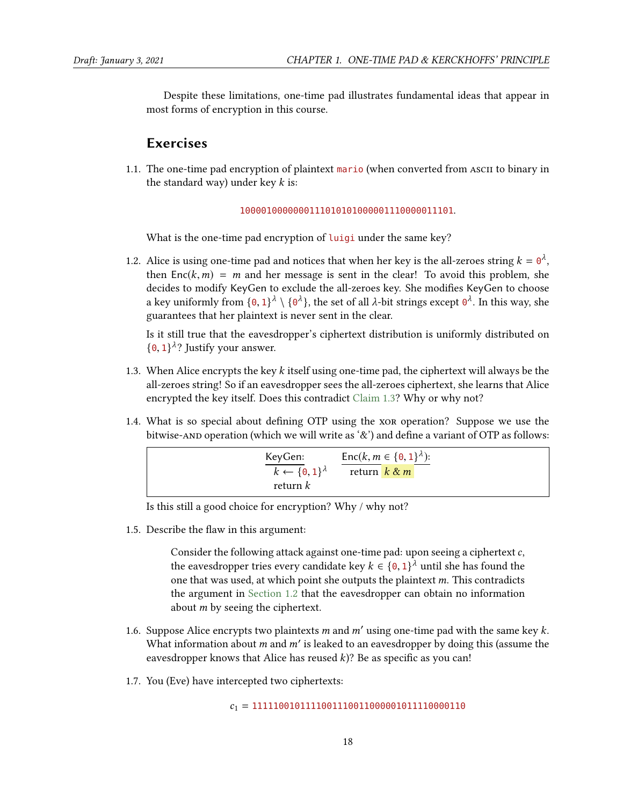Despite these limitations, one-time pad illustrates fundamental ideas that appear in most forms of encryption in this course.

## Exercises

1.1. The one-time pad encryption of plaintext mario (when converted from ASCII to binary in the standard way) under key  $k$  is:

#### 1000010000000111010101000001110000011101.

What is the one-time pad encryption of luigi under the same key?

1.2. Alice is using one-time pad and notices that when her key is the all-zeroes string  $k = \theta^{\lambda}$ , then  $Enc(k, m) = m$  and her message is sent in the clear! To avoid this problem, she then  $Enc(k, m) = m$  and her message is sent in the clear! To avoid this problem, she decides to modify KeyGen to exclude the all-zeroes key. She modifies KeyGen to choose a key uniformly from  $\{0, 1\}^{\lambda} \setminus \{0^{\lambda}\}\$ , the set of all λ-bit strings except  $0^{\lambda}$ . In this way, she guarantees that her plaintext is never sent in the clear. guarantees that her plaintext is never sent in the clear.

Is it still true that the eavesdropper's ciphertext distribution is uniformly distributed on  ${0, 1}^{\lambda}$ ? Justify your answer.

- 1.3. When Alice encrypts the key  $k$  itself using one-time pad, the ciphertext will always be the all-zeroes string! So if an eavesdropper sees the all-zeroes ciphertext, she learns that Alice encrypted the key itself. Does this contradict [Claim 1.3?](#page-6-0) Why or why not?
- 1.4. What is so special about defining OTP using the xor operation? Suppose we use the bitwise-and operation (which we will write as ' $\&$ ') and define a variant of OTP as follows:

KeyGen:  
\n
$$
k \leftarrow \{0, 1\}^{\lambda}
$$
  
\nreturn  $k \& m$   
\nreturn  $k$ 

Is this still a good choice for encryption? Why / why not?

1.5. Describe the flaw in this argument:

Consider the following attack against one-time pad: upon seeing a ciphertext  $c$ , the eavesdropper tries every candidate key  $k \in \{0,1\}^{\lambda}$  until she has found the one that was used at which point she outputs the plaintext m. This contradicts one that was used, at which point she outputs the plaintext  $m$ . This contradicts the argument in [Section 1.2](#page-3-1) that the eavesdropper can obtain no information about m by seeing the ciphertext.

- <span id="page-8-0"></span>1.6. Suppose Alice encrypts two plaintexts  $m$  and  $m'$  using one-time pad with the same key  $k$ . What information about m and m' is leaked to an eavesdropper by doing this (assume the equation per knows that Alice has reused  $k$ )? Be as specific as you can! eavesdropper knows that Alice has reused  $k$ )? Be as specific as you can!
- 1.7. You (Eve) have intercepted two ciphertexts:

 $c_1 = 1111100101111001110011000001011110000110$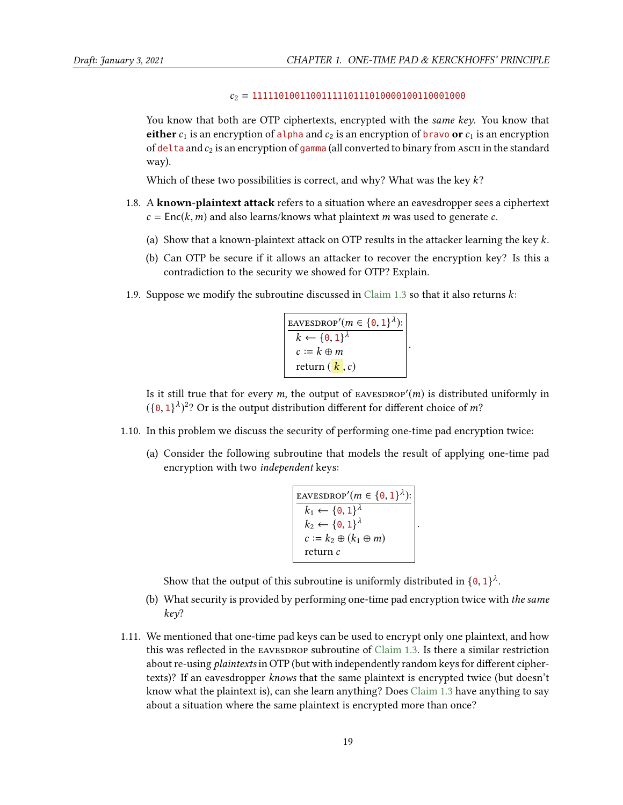#### $c_2 = 1111101001100111110111010000100110001000$

You know that both are OTP ciphertexts, encrypted with the same key. You know that either  $c_1$  is an encryption of alpha and  $c_2$  is an encryption of bravo or  $c_1$  is an encryption of delta and  $c_2$  is an encryption of gamma (all converted to binary from ASCII in the standard way).

Which of these two possibilities is correct, and why? What was the key  $k$ ?

- 1.8. A known-plaintext attack refers to a situation where an eavesdropper sees a ciphertext  $c = \text{Enc}(k, m)$  and also learns/knows what plaintext m was used to generate c.
	- (a) Show that a known-plaintext attack on OTP results in the attacker learning the key  $k$ .
	- (b) Can OTP be secure if it allows an attacker to recover the encryption key? Is this a contradiction to the security we showed for OTP? Explain.
- 1.9. Suppose we modify the subroutine discussed in [Claim 1.3](#page-6-0) so that it also returns  $k$ :

```
EAVESDROP'(m \in \{0, 1\}^{\lambda}):
k \leftarrow \{0, 1\}^{\lambda}<br>c := k \oplus m
c := k \oplus mreturn (k, c)
```
Is it still true that for every m, the output of EAVESDROP'(m) is distributed uniformly in<br>( $\int (0, 1)^{\lambda/2}2$  Or is the output distribution different for different choice of m<sup>2</sup>  $(\{0,1\}^{\lambda})^2$ ? Or is the output distribution different for different choice of *m*?

- 1.10. In this problem we discuss the security of performing one-time pad encryption twice:
	- (a) Consider the following subroutine that models the result of applying one-time pad encryption with two *independent* keys:

| EAVESDROP' $(m \in \{0, 1\}^{\lambda})$ : |
|-------------------------------------------|
| $k_1 \leftarrow \{0,1\}^{\lambda}$        |
| $k_2 \leftarrow \{0,1\}^{\lambda}$        |
| $c \coloneqq k_2 \oplus (k_1 \oplus m)$   |
| return c                                  |
|                                           |

Show that the output of this subroutine is uniformly distributed in  $\{0, 1\}^{\lambda}$ .

- (b) What security is provided by performing one-time pad encryption twice with the same key?
- 1.11. We mentioned that one-time pad keys can be used to encrypt only one plaintext, and how this was reflected in the EAVESDROP subroutine of [Claim 1.3.](#page-6-0) Is there a similar restriction about re-using *plaintexts* in OTP (but with independently random keys for different ciphertexts)? If an eavesdropper knows that the same plaintext is encrypted twice (but doesn't know what the plaintext is), can she learn anything? Does [Claim 1.3](#page-6-0) have anything to say about a situation where the same plaintext is encrypted more than once?